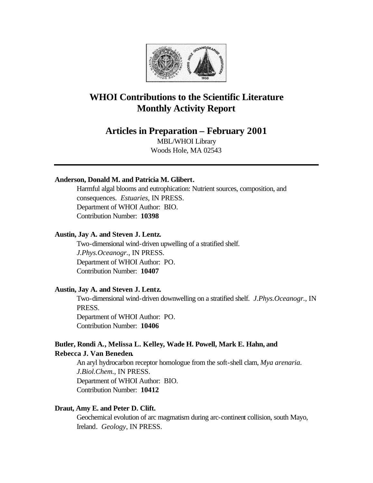

# **WHOI Contributions to the Scientific Literature Monthly Activity Report**

## **Articles in Preparation – February 2001**

MBL/WHOI Library Woods Hole, MA 02543

## **Anderson, Donald M. and Patricia M. Glibert.**

Harmful algal blooms and eutrophication: Nutrient sources, composition, and consequences. *Estuaries*, IN PRESS. Department of WHOI Author: BIO. Contribution Number: **10398**

### **Austin, Jay A. and Steven J. Lentz.**

Two-dimensional wind-driven upwelling of a stratified shelf. *J.Phys.Oceanogr.*, IN PRESS. Department of WHOI Author: PO. Contribution Number: **10407**

#### **Austin, Jay A. and Steven J. Lentz.**

Two-dimensional wind-driven downwelling on a stratified shelf. *J.Phys.Oceanogr.*, IN PRESS. Department of WHOI Author: PO. Contribution Number: **10406**

## **Butler, Rondi A., Melissa L. Kelley, Wade H. Powell, Mark E. Hahn, and Rebecca J. Van Beneden.**

An aryl hydrocarbon receptor homologue from the soft-shell clam, *Mya arenaria*. *J.Biol.Chem.*, IN PRESS. Department of WHOI Author: BIO. Contribution Number: **10412**

## **Draut, Amy E. and Peter D. Clift.**

Geochemical evolution of arc magmatism during arc-continent collision, south Mayo, Ireland. *Geology*, IN PRESS.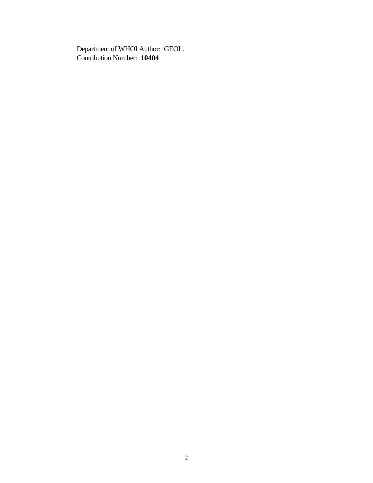Department of WHOI Author: GEOL. Contribution Number: **10404**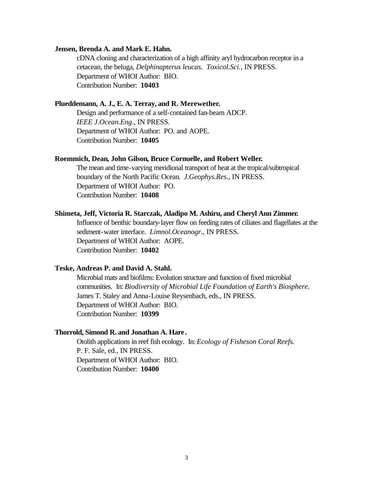#### **Jensen, Brenda A. and Mark E. Hahn.**

cDNA cloning and characterization of a high affinity aryl hydrocarbon receptor in a cetacean, the beluga, *Delphinapterus leucas*. *Toxicol.Sci.*, IN PRESS. Department of WHOI Author: BIO. Contribution Number: **10403**

#### **Plueddemann, A. J., E. A. Terray, and R. Merewether.**

Design and performance of a self-contained fan-beam ADCP. *IEEE J.Ocean.Eng.*, IN PRESS. Department of WHOI Author: PO. and AOPE. Contribution Number: **10405**

#### **Roemmich, Dean, John Gilson, Bruce Cornuelle, and Robert Weller.**

The mean and time-varying meridional transport of heat at the tropical/subtropical boundary of the North Pacific Ocean. *J.Geophys.Res.*, IN PRESS. Department of WHOI Author: PO. Contribution Number: **10408**

#### **Shimeta, Jeff, Victoria R. Starczak, Aladipo M. Ashiru, and Cheryl Ann Zimmer.**

Influence of benthic boundary-layer flow on feeding rates of ciliates and flagellates at the sediment-water interface. *Limnol.Oceanogr.*, IN PRESS. Department of WHOI Author: AOPE. Contribution Number: **10402**

### **Teske, Andreas P. and David A. Stahl.**

Microbial mats and biofilms: Evolution structure and function of fixed microbial communities. In: *Biodiversity of Microbial Life Foundation of Earth's Biosphere.*  James T. Staley and Anna-Louise Reysenbach, eds., IN PRESS. Department of WHOI Author: BIO. Contribution Number: **10399**

#### **Thorrold, Simond R. and Jonathan A. Hare.**

Otolith applications in reef fish ecology. In: *Ecology of Fisheson Coral Reefs*. P. F. Sale, ed*.*, IN PRESS. Department of WHOI Author: BIO. Contribution Number: **10400**